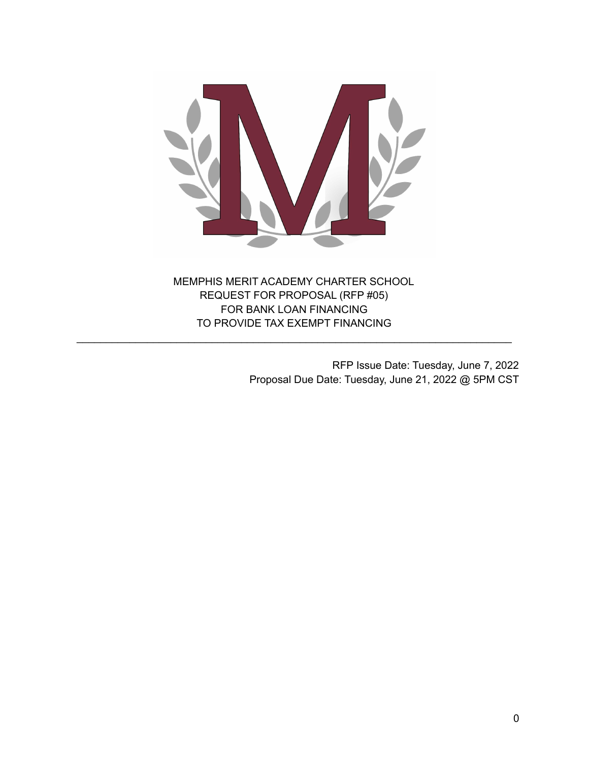

MEMPHIS MERIT ACADEMY CHARTER SCHOOL REQUEST FOR PROPOSAL (RFP #05) FOR BANK LOAN FINANCING TO PROVIDE TAX EXEMPT FINANCING

\_\_\_\_\_\_\_\_\_\_\_\_\_\_\_\_\_\_\_\_\_\_\_\_\_\_\_\_\_\_\_\_\_\_\_\_\_\_\_\_\_\_\_\_\_\_\_\_\_\_\_\_\_\_\_\_\_\_\_\_\_\_\_\_\_\_\_\_\_\_\_\_\_\_

RFP Issue Date: Tuesday, June 7, 2022 Proposal Due Date: Tuesday, June 21, 2022 @ 5PM CST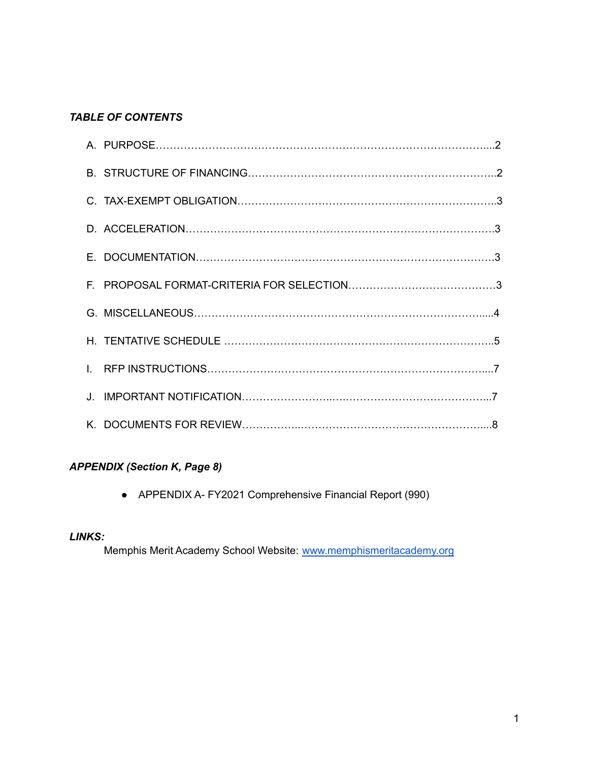## *TABLE OF CONTENTS*

## *APPENDIX (Section K, Page 8)*

● APPENDIX A- FY2021 Comprehensive Financial Report (990)

### *LINKS:*

Memphis Merit Academy School Website: [www.memphismeritacademy.org](http://www.memphismeritacademy.org)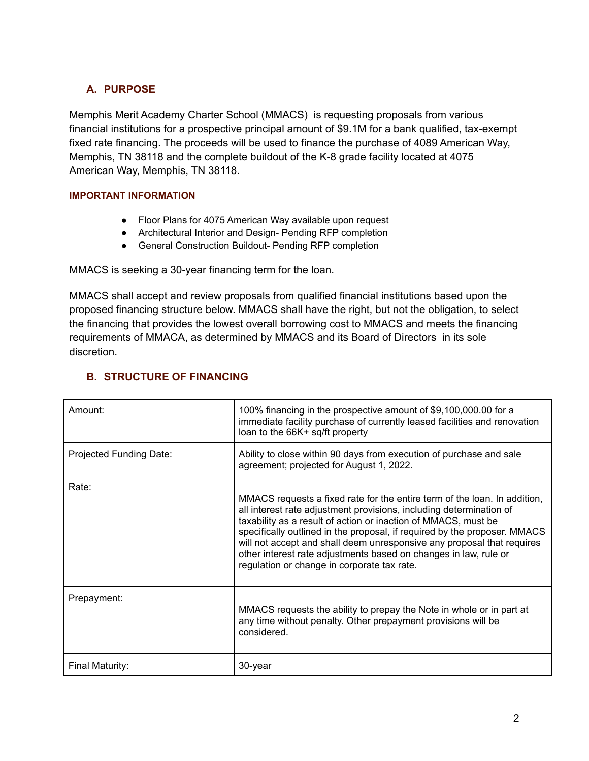# **A. PURPOSE**

Memphis Merit Academy Charter School (MMACS) is requesting proposals from various financial institutions for a prospective principal amount of \$9.1M for a bank qualified, tax-exempt fixed rate financing. The proceeds will be used to finance the purchase of 4089 American Way, Memphis, TN 38118 and the complete buildout of the K-8 grade facility located at 4075 American Way, Memphis, TN 38118.

#### **IMPORTANT INFORMATION**

- Floor Plans for 4075 American Way available upon request
- Architectural Interior and Design- Pending RFP completion
- General Construction Buildout- Pending RFP completion

MMACS is seeking a 30-year financing term for the loan.

MMACS shall accept and review proposals from qualified financial institutions based upon the proposed financing structure below. MMACS shall have the right, but not the obligation, to select the financing that provides the lowest overall borrowing cost to MMACS and meets the financing requirements of MMACA, as determined by MMACS and its Board of Directors in its sole discretion.

| Amount:                 | 100% financing in the prospective amount of \$9,100,000.00 for a<br>immediate facility purchase of currently leased facilities and renovation<br>loan to the 66K+ sq/ft property                                                                                                                                                                                                                                                                                                             |
|-------------------------|----------------------------------------------------------------------------------------------------------------------------------------------------------------------------------------------------------------------------------------------------------------------------------------------------------------------------------------------------------------------------------------------------------------------------------------------------------------------------------------------|
| Projected Funding Date: | Ability to close within 90 days from execution of purchase and sale<br>agreement; projected for August 1, 2022.                                                                                                                                                                                                                                                                                                                                                                              |
| Rate:                   | MMACS requests a fixed rate for the entire term of the loan. In addition,<br>all interest rate adjustment provisions, including determination of<br>taxability as a result of action or inaction of MMACS, must be<br>specifically outlined in the proposal, if required by the proposer. MMACS<br>will not accept and shall deem unresponsive any proposal that requires<br>other interest rate adjustments based on changes in law, rule or<br>regulation or change in corporate tax rate. |
| Prepayment:             | MMACS requests the ability to prepay the Note in whole or in part at<br>any time without penalty. Other prepayment provisions will be<br>considered.                                                                                                                                                                                                                                                                                                                                         |
| Final Maturity:         | 30-year                                                                                                                                                                                                                                                                                                                                                                                                                                                                                      |

# **B. STRUCTURE OF FINANCING**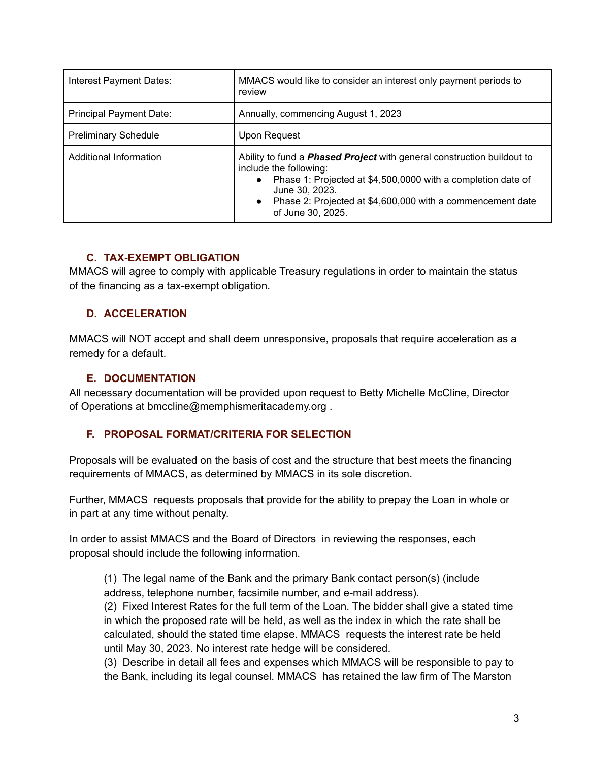| Interest Payment Dates:        | MMACS would like to consider an interest only payment periods to<br>review                                                                                                                                                                                                                             |
|--------------------------------|--------------------------------------------------------------------------------------------------------------------------------------------------------------------------------------------------------------------------------------------------------------------------------------------------------|
| <b>Principal Payment Date:</b> | Annually, commencing August 1, 2023                                                                                                                                                                                                                                                                    |
| <b>Preliminary Schedule</b>    | Upon Request                                                                                                                                                                                                                                                                                           |
| Additional Information         | Ability to fund a <b>Phased Project</b> with general construction buildout to<br>include the following:<br>Phase 1: Projected at \$4,500,0000 with a completion date of<br>$\bullet$<br>June 30, 2023.<br>Phase 2: Projected at \$4,600,000 with a commencement date<br>$\bullet$<br>of June 30, 2025. |

## **C. TAX-EXEMPT OBLIGATION**

MMACS will agree to comply with applicable Treasury regulations in order to maintain the status of the financing as a tax-exempt obligation.

### **D. ACCELERATION**

MMACS will NOT accept and shall deem unresponsive, proposals that require acceleration as a remedy for a default.

#### **E. DOCUMENTATION**

All necessary documentation will be provided upon request to Betty Michelle McCline, Director of Operations at bmccline@memphismeritacademy.org .

### **F. PROPOSAL FORMAT/CRITERIA FOR SELECTION**

Proposals will be evaluated on the basis of cost and the structure that best meets the financing requirements of MMACS, as determined by MMACS in its sole discretion.

Further, MMACS requests proposals that provide for the ability to prepay the Loan in whole or in part at any time without penalty.

In order to assist MMACS and the Board of Directors in reviewing the responses, each proposal should include the following information.

(1) The legal name of the Bank and the primary Bank contact person(s) (include address, telephone number, facsimile number, and e-mail address).

(2) Fixed Interest Rates for the full term of the Loan. The bidder shall give a stated time in which the proposed rate will be held, as well as the index in which the rate shall be calculated, should the stated time elapse. MMACS requests the interest rate be held until May 30, 2023. No interest rate hedge will be considered.

(3) Describe in detail all fees and expenses which MMACS will be responsible to pay to the Bank, including its legal counsel. MMACS has retained the law firm of The Marston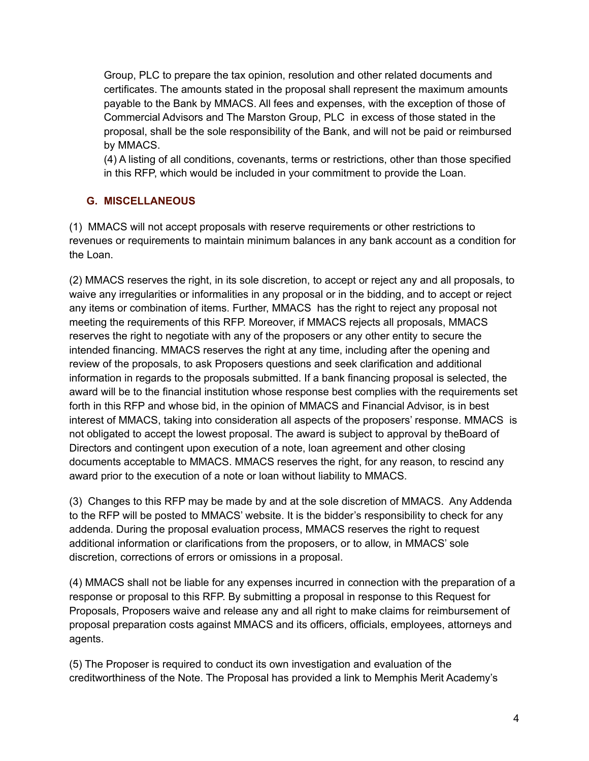Group, PLC to prepare the tax opinion, resolution and other related documents and certificates. The amounts stated in the proposal shall represent the maximum amounts payable to the Bank by MMACS. All fees and expenses, with the exception of those of Commercial Advisors and The Marston Group, PLC in excess of those stated in the proposal, shall be the sole responsibility of the Bank, and will not be paid or reimbursed by MMACS.

(4) A listing of all conditions, covenants, terms or restrictions, other than those specified in this RFP, which would be included in your commitment to provide the Loan.

# **G. MISCELLANEOUS**

(1) MMACS will not accept proposals with reserve requirements or other restrictions to revenues or requirements to maintain minimum balances in any bank account as a condition for the Loan.

(2) MMACS reserves the right, in its sole discretion, to accept or reject any and all proposals, to waive any irregularities or informalities in any proposal or in the bidding, and to accept or reject any items or combination of items. Further, MMACS has the right to reject any proposal not meeting the requirements of this RFP. Moreover, if MMACS rejects all proposals, MMACS reserves the right to negotiate with any of the proposers or any other entity to secure the intended financing. MMACS reserves the right at any time, including after the opening and review of the proposals, to ask Proposers questions and seek clarification and additional information in regards to the proposals submitted. If a bank financing proposal is selected, the award will be to the financial institution whose response best complies with the requirements set forth in this RFP and whose bid, in the opinion of MMACS and Financial Advisor, is in best interest of MMACS, taking into consideration all aspects of the proposers' response. MMACS is not obligated to accept the lowest proposal. The award is subject to approval by theBoard of Directors and contingent upon execution of a note, loan agreement and other closing documents acceptable to MMACS. MMACS reserves the right, for any reason, to rescind any award prior to the execution of a note or loan without liability to MMACS.

(3) Changes to this RFP may be made by and at the sole discretion of MMACS. Any Addenda to the RFP will be posted to MMACS' website. It is the bidder's responsibility to check for any addenda. During the proposal evaluation process, MMACS reserves the right to request additional information or clarifications from the proposers, or to allow, in MMACS' sole discretion, corrections of errors or omissions in a proposal.

(4) MMACS shall not be liable for any expenses incurred in connection with the preparation of a response or proposal to this RFP. By submitting a proposal in response to this Request for Proposals, Proposers waive and release any and all right to make claims for reimbursement of proposal preparation costs against MMACS and its officers, officials, employees, attorneys and agents.

(5) The Proposer is required to conduct its own investigation and evaluation of the creditworthiness of the Note. The Proposal has provided a link to Memphis Merit Academy's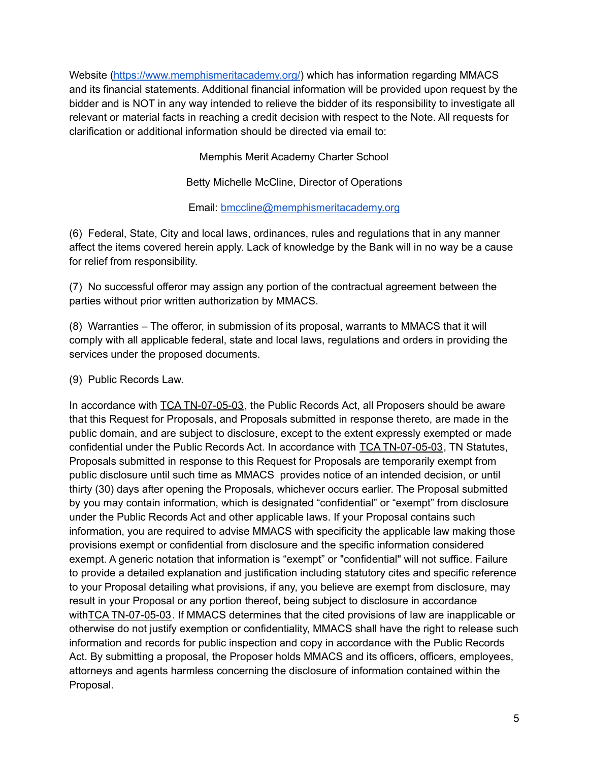Website [\(https://www.memphismeritacademy.org/](https://www.memphismeritacademy.org/)) which has information regarding MMACS and its financial statements. Additional financial information will be provided upon request by the bidder and is NOT in any way intended to relieve the bidder of its responsibility to investigate all relevant or material facts in reaching a credit decision with respect to the Note. All requests for clarification or additional information should be directed via email to:

Memphis Merit Academy Charter School

Betty Michelle McCline, Director of Operations

Email: [bmccline@memphismeritacademy.org](mailto:bmccline@memphismeritacademy.org)

(6) Federal, State, City and local laws, ordinances, rules and regulations that in any manner affect the items covered herein apply. Lack of knowledge by the Bank will in no way be a cause for relief from responsibility.

(7) No successful offeror may assign any portion of the contractual agreement between the parties without prior written authorization by MMACS.

(8) Warranties – The offeror, in submission of its proposal, warrants to MMACS that it will comply with all applicable federal, state and local laws, regulations and orders in providing the services under the proposed documents.

(9) Public Records Law.

In accordance with TCA TN-07-05-03, the Public Records Act, all Proposers should be aware that this Request for Proposals, and Proposals submitted in response thereto, are made in the public domain, and are subject to disclosure, except to the extent expressly exempted or made confidential under the Public Records Act. In accordance with TCA TN-07-05-03, TN Statutes, Proposals submitted in response to this Request for Proposals are temporarily exempt from public disclosure until such time as MMACS provides notice of an intended decision, or until thirty (30) days after opening the Proposals, whichever occurs earlier. The Proposal submitted by you may contain information, which is designated "confidential" or "exempt" from disclosure under the Public Records Act and other applicable laws. If your Proposal contains such information, you are required to advise MMACS with specificity the applicable law making those provisions exempt or confidential from disclosure and the specific information considered exempt. A generic notation that information is "exempt" or "confidential" will not suffice. Failure to provide a detailed explanation and justification including statutory cites and specific reference to your Proposal detailing what provisions, if any, you believe are exempt from disclosure, may result in your Proposal or any portion thereof, being subject to disclosure in accordance withTCA TN-07-05-03. If MMACS determines that the cited provisions of law are inapplicable or otherwise do not justify exemption or confidentiality, MMACS shall have the right to release such information and records for public inspection and copy in accordance with the Public Records Act. By submitting a proposal, the Proposer holds MMACS and its officers, officers, employees, attorneys and agents harmless concerning the disclosure of information contained within the Proposal.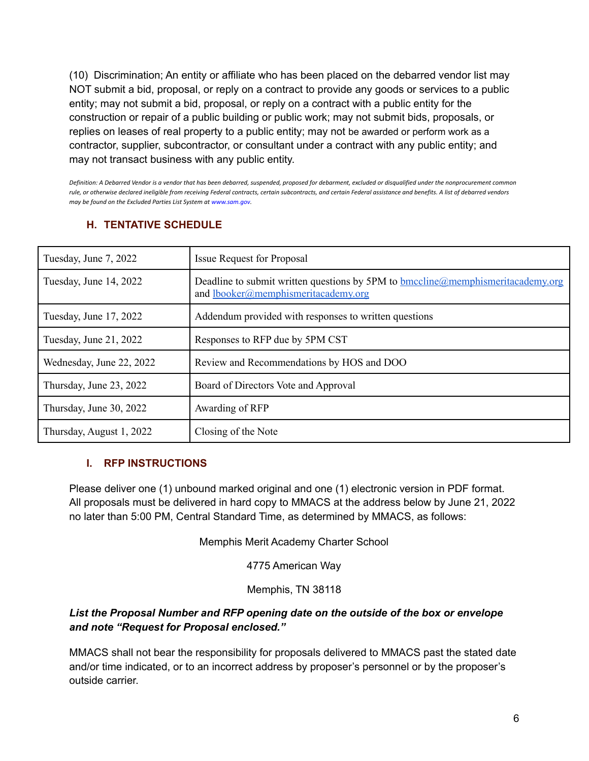(10) Discrimination; An entity or affiliate who has been placed on the debarred vendor list may NOT submit a bid, proposal, or reply on a contract to provide any goods or services to a public entity; may not submit a bid, proposal, or reply on a contract with a public entity for the construction or repair of a public building or public work; may not submit bids, proposals, or replies on leases of real property to a public entity; may not be awarded or perform work as a contractor, supplier, subcontractor, or consultant under a contract with any public entity; and may not transact business with any public entity.

Definition: A Debarred Vendor is a vendor that has been debarred, suspended, proposed for debarment, excluded or disqualified under the nonprocurement common rule, or otherwise declared ineligible from receiving Federal contracts, certain subcontracts, and certain Federal assistance and benefits. A list of debarred vendors *may be found on the Excluded Parties List System at www.sam.gov.*

# **H. TENTATIVE SCHEDULE**

| Tuesday, June 7, 2022    | <b>Issue Request for Proposal</b>                                                                                      |
|--------------------------|------------------------------------------------------------------------------------------------------------------------|
| Tuesday, June 14, 2022   | Deadline to submit written questions by 5PM to bmccline@memphismeritacademy.org<br>and lbooker@memphismeritacademy.org |
| Tuesday, June 17, 2022   | Addendum provided with responses to written questions                                                                  |
| Tuesday, June 21, 2022   | Responses to RFP due by 5PM CST                                                                                        |
| Wednesday, June 22, 2022 | Review and Recommendations by HOS and DOO                                                                              |
| Thursday, June 23, 2022  | Board of Directors Vote and Approval                                                                                   |
| Thursday, June 30, 2022  | Awarding of RFP                                                                                                        |
| Thursday, August 1, 2022 | Closing of the Note                                                                                                    |

### **I. RFP INSTRUCTIONS**

Please deliver one (1) unbound marked original and one (1) electronic version in PDF format. All proposals must be delivered in hard copy to MMACS at the address below by June 21, 2022 no later than 5:00 PM, Central Standard Time, as determined by MMACS, as follows:

Memphis Merit Academy Charter School

4775 American Way

Memphis, TN 38118

### *List the Proposal Number and RFP opening date on the outside of the box or envelope and note "Request for Proposal enclosed."*

MMACS shall not bear the responsibility for proposals delivered to MMACS past the stated date and/or time indicated, or to an incorrect address by proposer's personnel or by the proposer's outside carrier.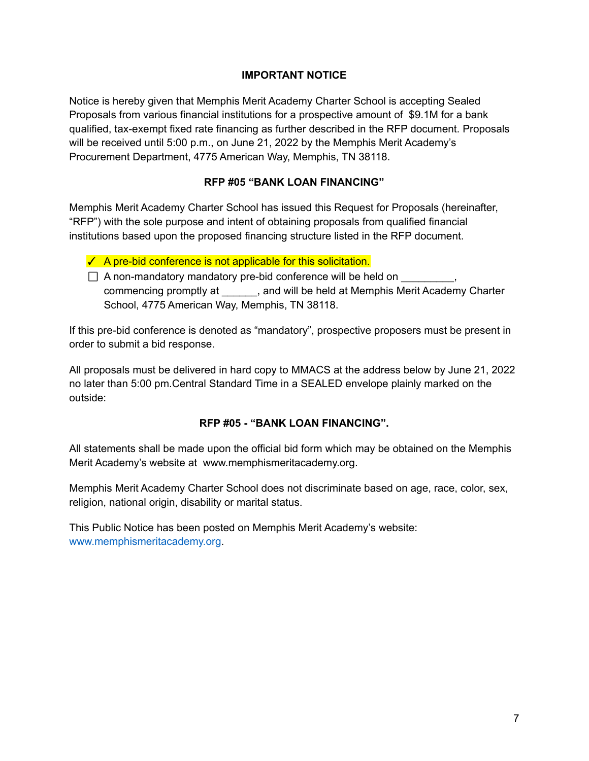#### **IMPORTANT NOTICE**

Notice is hereby given that Memphis Merit Academy Charter School is accepting Sealed Proposals from various financial institutions for a prospective amount of \$9.1M for a bank qualified, tax-exempt fixed rate financing as further described in the RFP document. Proposals will be received until 5:00 p.m., on June 21, 2022 by the Memphis Merit Academy's Procurement Department, 4775 American Way, Memphis, TN 38118.

#### **RFP #05 "BANK LOAN FINANCING"**

Memphis Merit Academy Charter School has issued this Request for Proposals (hereinafter, "RFP") with the sole purpose and intent of obtaining proposals from qualified financial institutions based upon the proposed financing structure listed in the RFP document.

- ✓ A pre-bid conference is not applicable for this solicitation.
- $\Box$  A non-mandatory mandatory pre-bid conference will be held on commencing promptly at \_\_\_\_\_\_, and will be held at Memphis Merit Academy Charter School, 4775 American Way, Memphis, TN 38118.

If this pre-bid conference is denoted as "mandatory", prospective proposers must be present in order to submit a bid response.

All proposals must be delivered in hard copy to MMACS at the address below by June 21, 2022 no later than 5:00 pm.Central Standard Time in a SEALED envelope plainly marked on the outside:

### **RFP #05 - "BANK LOAN FINANCING".**

All statements shall be made upon the official bid form which may be obtained on the Memphis Merit Academy's website at www.memphismeritacademy.org.

Memphis Merit Academy Charter School does not discriminate based on age, race, color, sex, religion, national origin, disability or marital status.

This Public Notice has been posted on Memphis Merit Academy's website: www.memphismeritacademy.org.